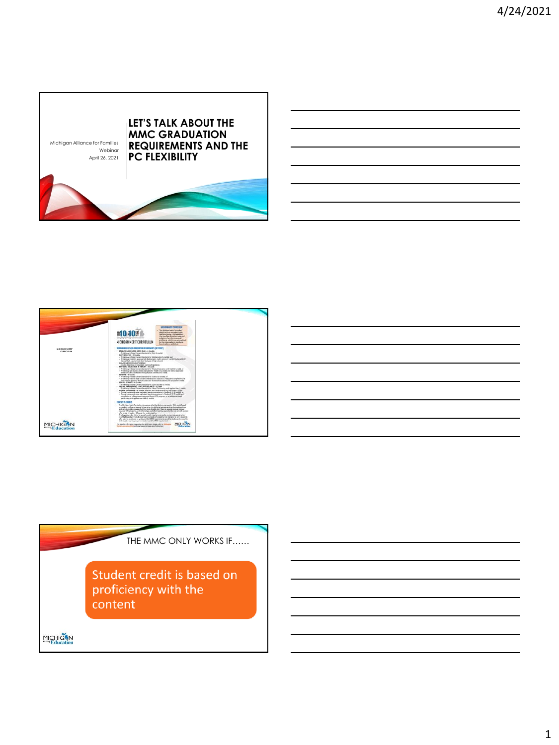



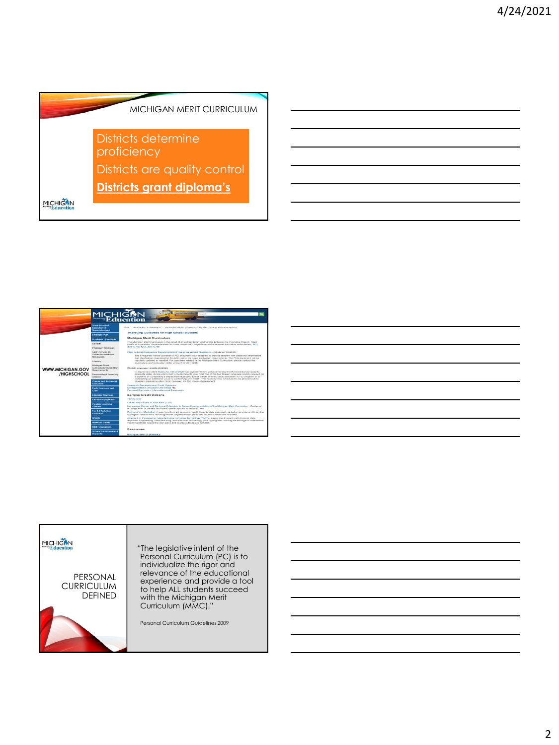



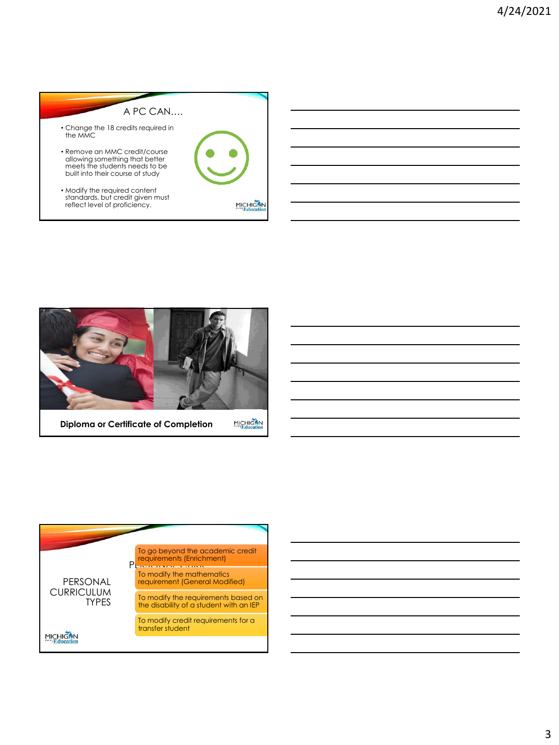



**Diploma or Certificate of Completion**

MICHIGAN

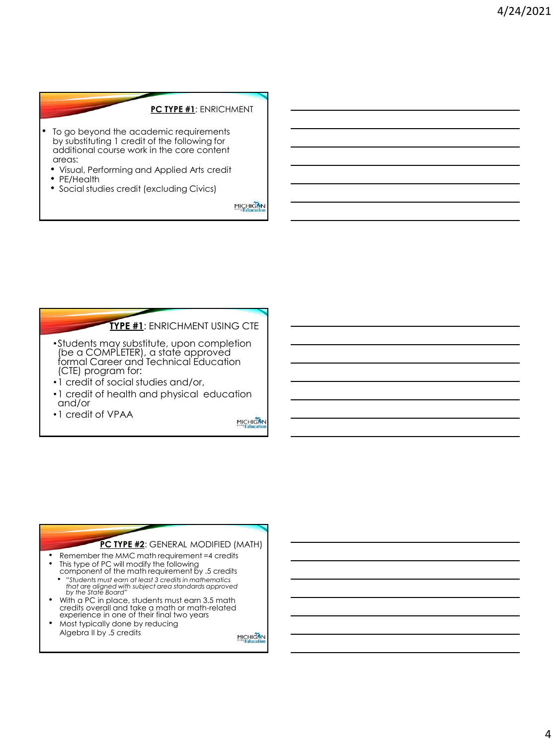### **PC TYPE #1**: ENRICHMENT

- To go beyond the academic requirements by substituting 1 credit of the following for additional course work in the core content areas:
	- Visual, Performing and Applied Arts credit
	- PE/Health
	- Social studies credit (excluding Civics)

MICHIGAN

### **TYPE #1**: ENRICHMENT USING CTE

- •Students may substitute, upon completion (be a COMPLETER), a state approved formal Career and Technical Education (CTE) program for:
- •1 credit of social studies and/or,
- •1 credit of health and physical education and/or
- •1 credit of VPAA

MICHIGAN

### **PC TYPE #2**: GENERAL MODIFIED (MATH)

- Remember the MMC math requirement =4 credits • This type of PC will modify the following component of the math requirement by .5 credits
- "*Students must earn at least 3 credits in mathematics that are aligned with subject area standards approved by the State Board"*
- With a PC in place, students must earn 3.5 math credits overall and take a math or math-related experience in one of their final two years
- Most typically done by reducing Algebra II by .5 credits

MICHIGAN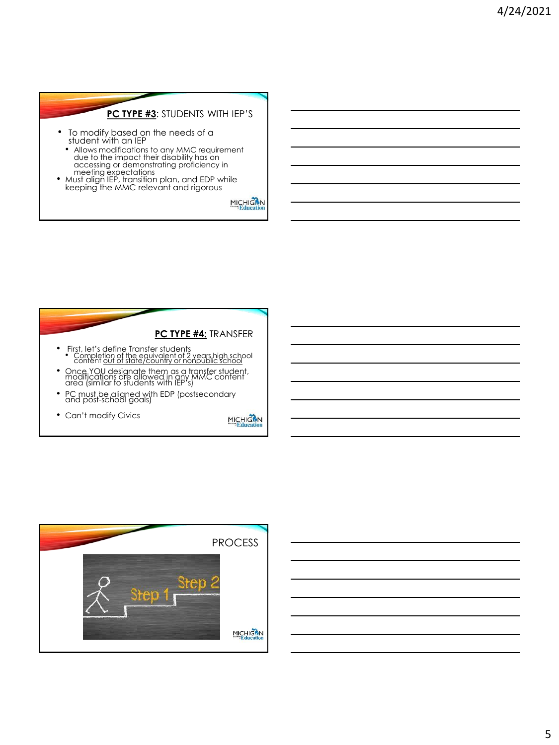# **PC TYPE #3**: STUDENTS WITH IEP'S

- To modify based on the needs of a student with an IEP
- Allows modifications to any MMC requirement<br>due to the impact their disability has on<br>accessing or demonstrating proficiency in<br>meeting expectations<br>Must align IEP, transition plan, and EDP while<br>keeping the MMC relevant
- 





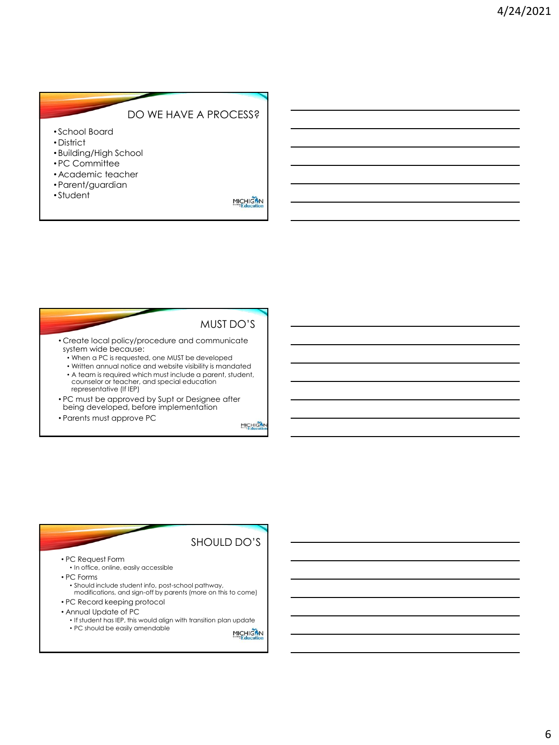# DO WE HAVE A PROCESS?

- School Board
- District
- Building/High School
- PC Committee
- Academic teacher
- Parent/guardian
- Student

MICHIGAN

MUST DO'S

#### • Create local policy/procedure and communicate system wide because:

- When a PC is requested, one MUST be developed
- Written annual notice and website visibility is mandated
- A team is required which must include a parent, student, counselor or teacher, and special education representative (If IEP)
- PC must be approved by Supt or Designee after being developed, before implementation
- Parents must approve PC

MICHIGAT

## SHOULD DO'S

- PC Request Form
	- In office, online, easily accessible
- PC Forms
- Should include student info, post-school pathway, modifications, and sign-off by parents (more on this to come) • PC Record keeping protocol
- Annual Update of PC
- - If student has IEP, this would align with transition plan update • PC should be easily amendableMICHIGAN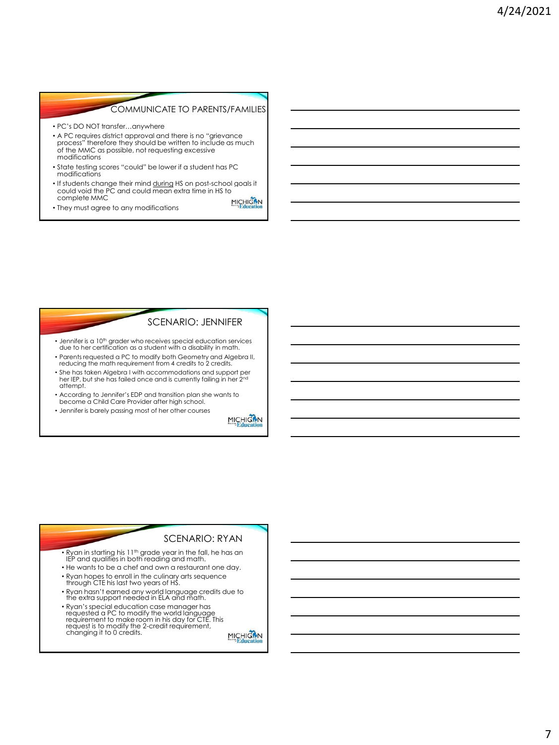### COMMUNICATE TO PARENTS/FAMILIES

- PC's DO NOT transfer…anywhere
- A PC requires district approval and there is no "grievance process" therefore they should be written to include as much of the MMC as possible, not requesting excessive modifications
- State testing scores "could" be lower if a student has PC modifications
- If students change their mind during HS on post-school goals it could void the PC and could mean extra time in HS to complete MMC MICHIGAN<br>Education
- They must agree to any modifications

#### SCENARIO: JENNIFER

- Jennifer is a 10<sup>th</sup> grader who receives special education services due to her certification as a student with a disability in math.
- Parents requested a PC to modify both Geometry and Algebra II, reducing the math requirement from 4 credits to 2 credits.
- She has taken Algebra I with accommodations and support per her IEP, but she has failed once and is currently failing in her 2nd attempt.
- According to Jennifer's EDP and transition plan she wants to become a Child Care Provider after high school.
- Jennifer is barely passing most of her other courses.

MICHIGAN<br>Education

### SCENARIO: RYAN

 $\bullet$  Ryan in starting his 11<sup>th</sup> grade year in the fall, he has an IEP and qualifies in both reading and math.

- He wants to be a chef and own a restaurant one day.
- Ryan hopes to enroll in the culinary arts sequence through CTE his last two years of HS.
- Ryan hasn't earned any world language credits due to the extra support needed in ELA and math.
- Ryan's special education case manager has requested a PC to modify the world language requirement to make room in his day for CTE. This request is to modify the 2-credit requirement, changing it to 0 credits.

MICHICAN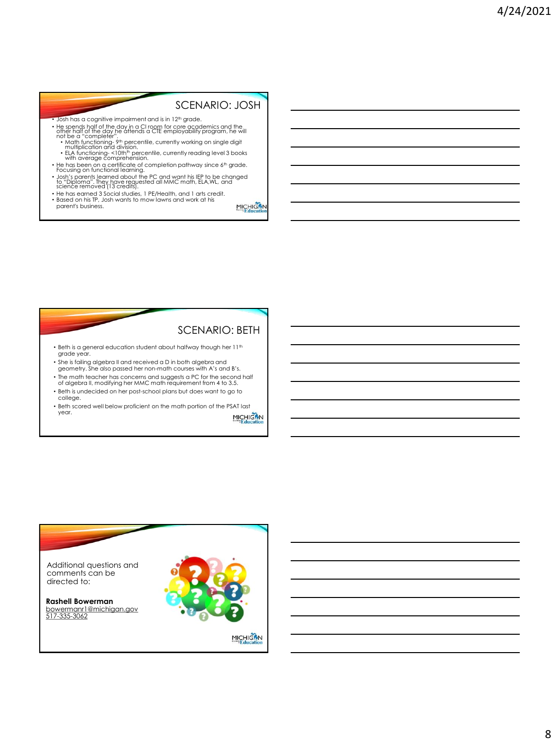## SCENARIO: JOSH

- Josh has a cognitive impairment and is in 12<sup>th</sup> grade.
- He spends half of the day in a CI room for core academics and the<br>offer half of the day he attends a CTE employability program, he will<br>not be a "completer".<br>• Math functioning-9th percentile, currently working on single
	-
- 
- 
- ELA functioning-s-loth<sup>th</sup> percentile, currently reading level 3 books<br>• He has been on a certificate of completion pathway since 6<sup>th</sup> grade.<br>• Fecusing on functional learning.<br>• Josh's parents learned about the PC and
- He has earned 3 Social studies, 1 PE/Health, and 1 arts credit. Based on his TP, Josh wants to mow lawns and work at his parent's business.

MICHIGAN<br>Education

### SCENARIO: BETH

- Beth is a general education student about halfway though her 11<sup>th</sup> grade year.
- She is failing algebra II and received a D in both algebra and geometry. She also passed her non-math courses with A's and B's.
- The math teacher has concerns and suggests a PC for the second half of algebra II, modifying her MMC math requirement from 4 to 3.5.
- Beth is undecided on her post-school plans but does want to go to college.
- Beth scored well below proficient on the math portion of the PSAT last year. **MICHIGAN**

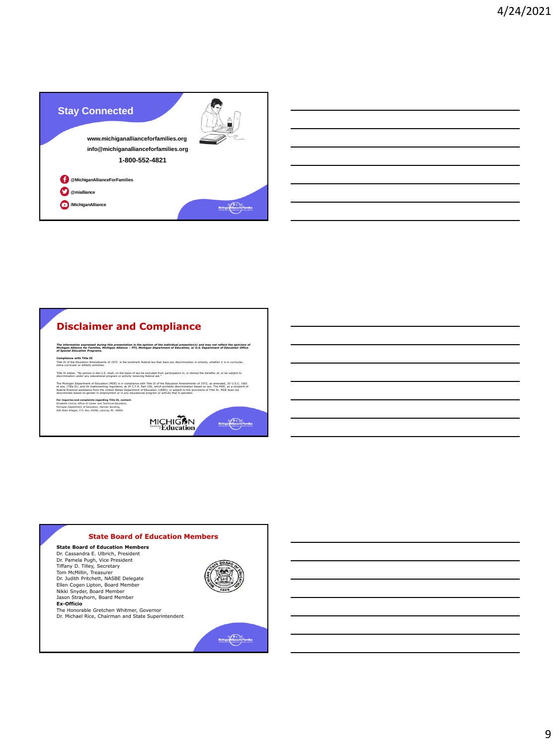

# **Disclaimer and Compliance**

The information expressed during this presentation is the opinion of the individual presenter(s) and may not reflect the opinions of<br>Michigan Alliance for Families, Michigan Alliance – PTI, Michigan Department of Education

**Compliance with Title IX**<br>Title IX of the Education Amendments of 1972 is the landmark federal law that bans sex discrimination in schools, whether it is in curricular,<br>extra-curricular or athletic activities.

Title IX states: "No person in the U.S. shall, on the basis of sex be excluded from participation in, or denied the benefits of, or be subject to<br>discrimination under any educational program or activity receiving federal a

The Michigan Department of Education (MDE) is in compliance with Title IX of the Education Amendments of 1972, as amended, 20 U.S.C. 1681<br>et esq. (Title IX), and its implementing regulation, at 34 C.F.R. Part 106, which pr

**For inquiries and complaints regarding Title IX, contact:**<br>Elizabeth Collins, Office of Career and Technical Education,<br>Nichigan Department of Education, Hannah Building,<br>608 West Allegan, P.O. Box 30008, Lansing, MI 4890

MICHIGAN<br>Education

#### **State Board of Education Members**

**State Board of Education Members** Dr. Cassandra E. Ulbrich, President Dr. Pamela Pugh, Vice President Tiffany D. Tilley, Secretary Tom McMillin, Treasurer Dr. Judith Pritchett, NASBE Delegate Ellen Cogen Lipton, Board Member Nikki Snyder, Board Member Jason Strayhorn, Board Member **Ex-Officio**

The Honorable Gretchen Whitmer, Governor Dr. Michael Rice, Chairman and State Superintendent



Michigan (Alliance for Families